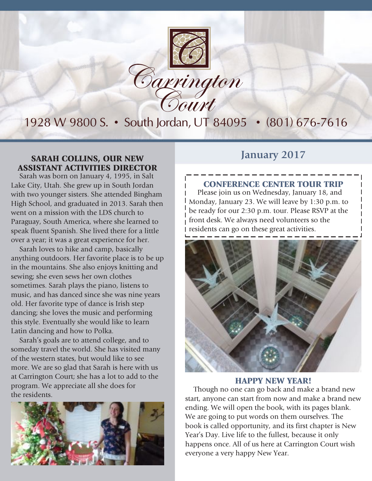

### 1928 W 9800 S. • South Jordan, UT 84095 • (801) 676-7616

### **SARAH COLLINS, OUR NEW** January 2017 ASSISTANT ACTIVITIES DIRECTOR

Sarah was born on January 4, 1995, in Salt Lake City, Utah. She grew up in South Jordan with two younger sisters. She attended Bingham High School, and graduated in 2013. Sarah then went on a mission with the LDS church to Paraguay, South America, where she learned to speak fluent Spanish. She lived there for a little over a year; it was a great experience for her.

Sarah loves to hike and camp, basically anything outdoors. Her favorite place is to be up in the mountains. She also enjoys knitting and sewing; she even sews her own clothes sometimes. Sarah plays the piano, listens to music, and has danced since she was nine years old. Her favorite type of dance is Irish step dancing; she loves the music and performing this style. Eventually she would like to learn Latin dancing and how to Polka.

Sarah's goals are to attend college, and to someday travel the world. She has visited many of the western states, but would like to see more. We are so glad that Sarah is here with us at Carrington Court; she has a lot to add to the program. We appreciate all she does for the residents.



#### CONFERENCE CENTER TOUR TRIP

Please join us on Wednesday, January 18, and Monday, January 23. We will leave by 1:30 p.m. to be ready for our 2:30 p.m. tour. Please RSVP at the front desk. We always need volunteers so the residents can go on these great activities.



#### HAPPY NEW YEAR!

Though no one can go back and make a brand new start, anyone can start from now and make a brand new ending. We will open the book, with its pages blank. We are going to put words on them ourselves. The book is called opportunity, and its first chapter is New Year's Day. Live life to the fullest, because it only happens once. All of us here at Carrington Court wish everyone a very happy New Year.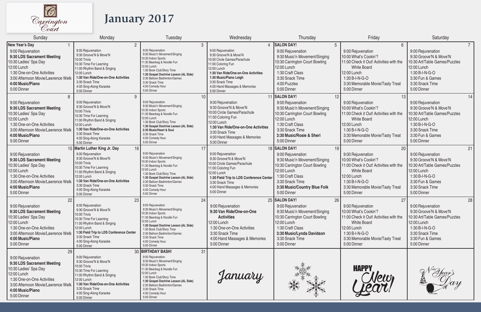

# **January 2017**

| Sunday                                                                                                                                                                                                         | Monday                                                                                                                                                                                                                                                                          | Tuesday                                                                                                                                                                                                                                                                                                           | Wednesday                                                                                                                                                                                                                                            | Thursday                                                                                                                                                                                                         | Friday                                                                                                                                                                                                | Saturday                                                                                                                                                                  |
|----------------------------------------------------------------------------------------------------------------------------------------------------------------------------------------------------------------|---------------------------------------------------------------------------------------------------------------------------------------------------------------------------------------------------------------------------------------------------------------------------------|-------------------------------------------------------------------------------------------------------------------------------------------------------------------------------------------------------------------------------------------------------------------------------------------------------------------|------------------------------------------------------------------------------------------------------------------------------------------------------------------------------------------------------------------------------------------------------|------------------------------------------------------------------------------------------------------------------------------------------------------------------------------------------------------------------|-------------------------------------------------------------------------------------------------------------------------------------------------------------------------------------------------------|---------------------------------------------------------------------------------------------------------------------------------------------------------------------------|
| <b>New Year's Day</b>                                                                                                                                                                                          | $\overline{2}$                                                                                                                                                                                                                                                                  | 3                                                                                                                                                                                                                                                                                                                 | $\overline{4}$                                                                                                                                                                                                                                       | <b>SALON DAY!</b><br>5                                                                                                                                                                                           | 6                                                                                                                                                                                                     | 7 <sup>7</sup>                                                                                                                                                            |
| 9:00 Rejuvenation<br>9:30 LDS Sacrament Meeting<br>10:30 Ladies' Spa Day<br>12:00 Lunch<br>1:30 One-on-One Activities<br>3:00 Afternoon Movie/Lawrence Welk<br>4:00 Music/Piano<br>5:00 Dinner                 | 9:00 Rejuvenation<br>9:30 Groove'N & Move'N<br>10:00 Trivia<br>10:30 Time For Learning<br>11:00 Rhythm Band & Singing<br>12:00 Lunch<br>1:30 Van Ride/One-on-One Activities<br>3:30 Snack Time<br>4:00 Sing-Along Karaoke<br>5:00 Dinner                                        | 9:00 Rejuvenation<br>9:30 Music'n Movement/Singing<br>10:30 Indoor Sports<br>11:30 Beanbag & Noodle Fun<br>12:00 Lunch<br>1:30 Book Club/Story Time<br>1:30 Gospel Doctrine Lesson (AL Side)<br>2:30 Balloon Badminton/Games<br>3:30 Snack Time<br>4:00 Comedy Hour<br>5:00 Dinner                                | 9:00 Rejuvenation<br>9:30 Groove'N & Move'N<br>10:00 Circle Games/Parachute<br>11:00 Coloring Fun<br>12:00 Lunch<br>1:30 Van Ride/One-on-One Activities<br>1:30 Music/Piano Leigh<br>3:30 Snack Time<br>4:00 Hand Massages & Memories<br>5:00 Dinner | 9:00 Rejuvenation<br>9:30 Music'n Movement/Singing<br>10:30 Carrington Court Bowling<br>12:00 Lunch<br>1:30 Craft Class<br>3:30 Snack Time<br>4:00 Puzzles<br>5:00 Dinner                                        | 9:00 Rejuvenation<br>10:00 What's Cookin'?<br>11:00 Check it Out! Activities with the<br><b>White Board</b><br>12:00 Lunch<br>1:30 B-I-N-G-O<br>3:30 Memorable Movie/Tasty Treat<br>5:00 Dinner       | 9:00 Rejuvenation<br>9:30 Groove'N & Move'N<br>10:30 Art/Table Games/Puzzles<br>12:00 Lunch<br>1:30 B-I-N-G-O<br>3:30 Fun & Games<br>3:30 Snack Time<br>5:00 Dinner       |
| $\mathsf{R}$<br>9:00 Rejuvenation<br>9:30 LDS Sacrament Meeting<br>10:30 Ladies' Spa Day<br>12:00 Lunch<br>1:30 One-on-One Activities<br>3:00 Afternoon Movie/Lawrence Welk<br>4:00 Music/Piano<br>5:00 Dinner | 9<br>9:00 Rejuvenation<br>9:30 Groove'N & Move'N<br>10:00 Trivia<br>10:30 Time For Learning<br>11:00 Rhythm Band & Singing<br>12:00 Lunch<br>1:30 Van Ride/One-on-One Activities<br>3:30 Snack Time<br>4:00 Sing-Along Karaoke<br>5:00 Dinner                                   | 10 <sup>°</sup><br>9:00 Rejuvenation<br>9:30 Music'n Movement/Singing<br>10:30 Indoor Sports<br>11:30 Beanbag & Noodle Fun<br>12:00 Lunch<br>1:30 Book Club/Story Time<br>1:30 Gospel Doctrine Lesson (AL Side)<br>2:30 Music/Heart & Soul<br>3:30 Snack Time<br>4:00 Comedy Hour<br>5:00 Dinner                  | 9:00 Rejuvenation<br>9:30 Groove'N & Move'N<br>10:00 Circle Games/Parachute<br>11:00 Coloring Fun<br>12:00 Lunch<br>1:30 Van Ride/One-on-One Activities<br>3:30 Snack Time<br>4:00 Hand Massages & Memories<br>5:00 Dinner                           | 11 SALON DAY!<br>12<br>9:00 Rejuvenation<br>9:30 Music'n Movement/Singing<br>10:30 Carrington Court Bowling<br>12:00 Lunch<br>1:30 Craft Class<br>3:30 Snack Time<br>3:30 Music/Rosie & Sheri<br>5:00 Dinner     | 13<br>9:00 Rejuvenation<br>10:00 What's Cookin'?<br>11:00 Check it Out! Activities with the<br><b>White Board</b><br>12:00 Lunch<br>1:30 B-I-N-G-O<br>3:30 Memorable Movie/Tasty Treat<br>5:00 Dinner | 14<br>9:00 Rejuvenation<br>9:30 Groove'N & Move'N<br>10:30 Art/Table Games/Puzzles<br>12:00 Lunch<br>1:30 B-I-N-G-O<br>3:30 Snack Time<br>3:30 Fun & Games<br>5:00 Dinner |
| 9:00 Rejuvenation<br>9:30 LDS Sacrament Meeting<br>10:30 Ladies' Spa Day<br>12:00 Lunch<br>1:30 One-on-One Activities<br>3:00 Afternoon Movie/Lawrence Welk<br>4:00 Music/Piano<br>5:00 Dinner                 | 16<br>15 Martin Luther King Jr. Day<br>9:00 Rejuvenation<br>9:30 Groove'N & Move'N<br>10:00 Trivia<br>10:30 Time For Learning<br>11:00 Rhythm Band & Singing<br>12:00 Lunch<br>1:30 Van Ride/One-on-One Activities<br>3:30 Snack Time<br>4:00 Sing-Along Karaoke<br>5:00 Dinner | 17<br>9:00 Rejuvenation<br>9:30 Music'n Movement/Singing<br>10:30 Indoor Sports<br>11:30 Beanbag & Noodle Fun<br>12:00 Lunch<br>1:30 Book Club/Story Time<br>1:30 Gospel Doctrine Lesson (AL Side)<br>2:30 Balloon Badminton/Games<br>3:30 Snack Time<br>4:00 Comedy Hour<br>5:00 Dinner                          | 9:00 Rejuvenation<br>9:30 Groove'N & Move'N<br>10:00 Circle Games/Parachute<br>11:00 Coloring Fun<br>12:00 Lunch<br>1:30 Field Trip to LDS Conference Center<br>3:30 Snack Time<br>4:00 Hand Massages & Memories<br>5:00 Dinner                      | 18 SALON DAY!<br>19<br>9:00 Rejuvenation<br>9:30 Music'n Movement/Singing<br>10:30 Carrington Court Bowling<br>12:00 Lunch<br>1:30 Craft Class<br>3:30 Snack Time<br>3:30 Music/Country Blue Folk<br>5:00 Dinner | 20<br>9:00 Rejuvenation<br>10:00 What's Cookin'?<br>11:00 Check it Out! Activities with the<br><b>White Board</b><br>12:00 Lunch<br>1:30 B-I-N-G-O<br>3:30 Memorable Movie/Tasty Treat<br>5:00 Dinner | 21<br>9:00 Rejuvenation<br>9:30 Groove'N & Move'N<br>10:30 Art/Table Games/Puzzles<br>12:00 Lunch<br>1:30 B-I-N-G-O<br>3:30 Fun & Games<br>3:30 Snack Time<br>5:00 Dinner |
| 22<br>9:00 Rejuvenation<br>9:30 LDS Sacrament Meeting<br>10:30 Ladies' Spa Day<br>12:00 Lunch<br>1:30 One-on-One Activities<br>3:00 Afternoon Movie/Lawrence Welk<br>4:00 Music/Piano<br>5:00 Dinner           | 23<br>9:00 Rejuvenation<br>9:30 Groove'N & Move'N<br>10:00 Trivia<br>10:30 Time For Learning<br>11:00 Rhythm Band & Singing<br>12:00 Lunch<br>1:30 Field Trip to LDS Conference Center<br>3:30 Snack Time<br>4:00 Sing-Along Karaoke<br>5:00 Dinner                             | 24<br>9:00 Rejuvenation<br>9:30 Music'n Movement/Singing<br>10:30 Indoor Sports<br>11:30 Beanbag & Noodle Fun<br>12:00 Lunch<br>1:30 Gospel Doctrine Lesson (AL Side)<br>1:30 Book Club/Story Time<br>2:30 Balloon Badminton/Games<br>3:30 Snack Time<br>4:00 Comedy Hour<br>5:00 Dinner                          | 9:00 Rejuvenation<br>9:30 Van Ride/One-on-One<br><b>Activities</b><br>12:00 Lunch<br>1:30 One-on-One Activities<br>3:30 Snack Time<br>4:00 Hand Massages & Memories<br>5:00 Dinner                                                                   | 25 SALON DAY!<br>26<br>9:00 Rejuvenation<br>9:30 Music'n Movement/Singing<br>10:30 Carrington Court Bowling<br>12:00 Lunch<br>1:30 Craft Class<br>3:30 Music/Lynda Davidson<br>3:30 Snack Time<br>5:00 Dinner    | 27<br>9:00 Rejuvenation<br>10:00 What's Cookin'?<br>11:00 Check it Out! Activities with the<br><b>White Board</b><br>12:00 Lunch<br>1:30 B-I-N-G-O<br>3:30 Memorable Movie/Tasty Treat<br>5:00 Dinner | 28<br>9:00 Rejuvenation<br>9:30 Groove'N & Move'N<br>10:30 Art/Table Games/Puzzles<br>12:00 Lunch<br>1:30 B-I-N-G-O<br>3:30 Snack Time<br>3:30 Fun & Games<br>5:00 Dinner |
| 29<br>9:00 Rejuvenation<br>9:30 LDS Sacrament Meeting<br>10:30 Ladies' Spa Day<br>12:00 Lunch<br>1:30 One-on-One Activities<br>3:00 Afternoon Movie/Lawrence Welk<br>4:00 Music/Piano<br>5:00 Dinner           | 9:00 Rejuvenation<br>9:30 Groove'N & Move'N<br>10:00 Trivia<br>10:30 Time For Learning<br>11:00 Rhythm Band & Singing<br>12:00 Lunch<br>1:30 Van Ride/One-on-One Activities<br>3:30 Snack Time<br>4:00 Sing-Along Karaoke<br>5:00 Dinner                                        | <b>BIRTHDAY BASH!</b><br>31<br>9:00 Rejuvenation<br>9:30 Music'n Movement/Singing<br>10:30 Indoor Sports<br>11:30 Beanbag & Noodle Fun<br>12:00 Lunch<br>1:30 Book Club/Story Time<br>1:30 Gospel Doctrine Lesson (AL Side)<br>2:30 Balloon Badminton/Games<br>3:30 Snack Time<br>4:00 Comedy Hour<br>5:00 Dinner | January                                                                                                                                                                                                                                              |                                                                                                                                                                                                                  | <b>HAPPY</b><br>Jew                                                                                                                                                                                   |                                                                                                                                                                           |